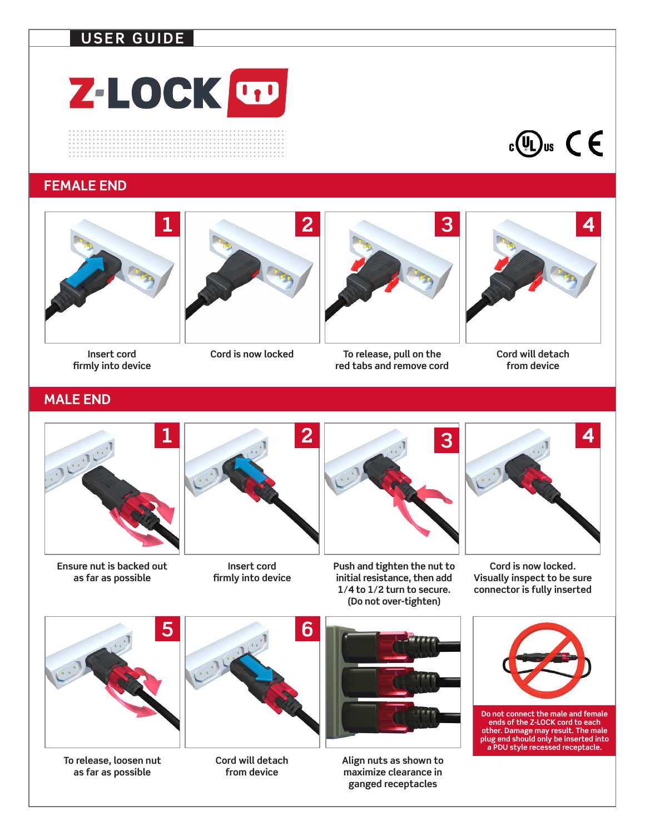## **USER GUIDE**



 $c \bigoplus$ us

#### **FEMALE END**



**Insert cord firmly into device**







**Cord will detach from device**

## **MALE END**



**Ensure nut is backed out as far as possible**



**Insert cord firmly into device**



**Push and tighten the nut to initial resistance, then add 1/4 to 1/2 turn to secure. (Do not over-tighten)**



**Cord is now locked. Visually inspect to be sure connector is fully inserted**



**To release, loosen nut as far as possible**



**Cord will detach from device**



**Align nuts as shown to maximize clearance in ganged receptacles**



**Do not connect the male and female ends of the Z-LOCK cord to each other. Damage may result. The male plug end should only be inserted into a PDU style recessed receptacle.**